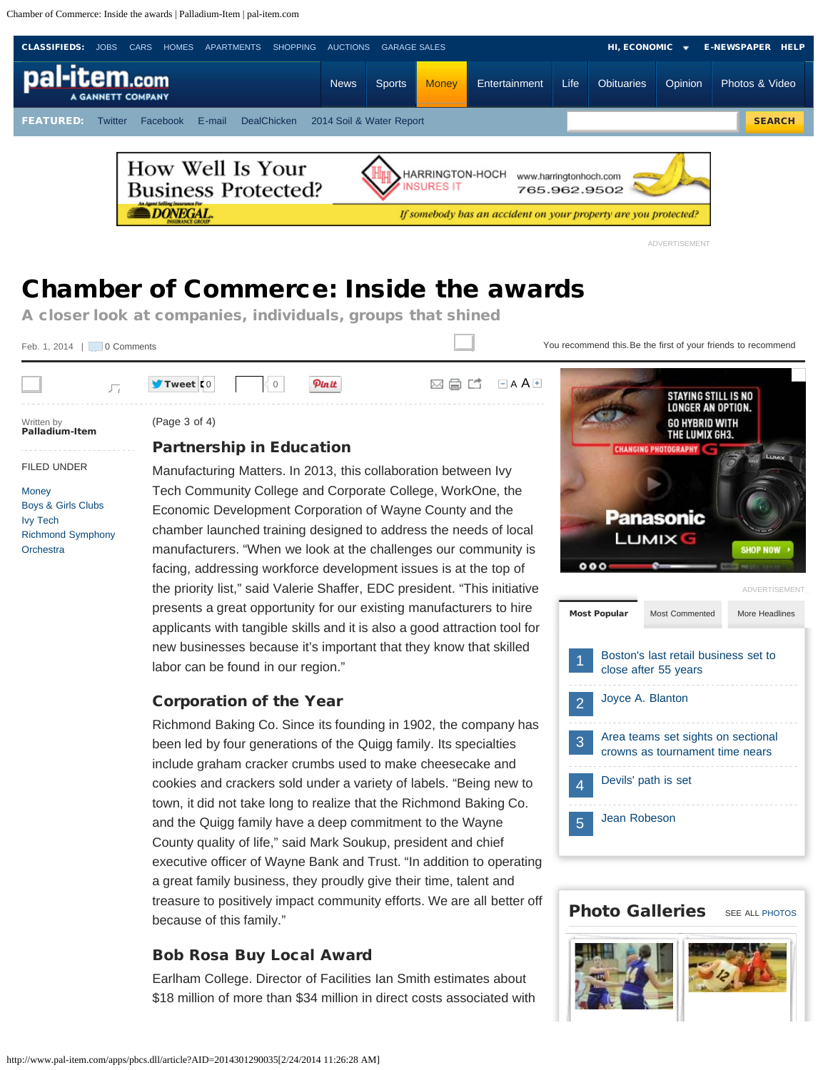<span id="page-0-0"></span>Chamber of Commerce: Inside the awards | Palladium-Item | pal-item.com

<span id="page-0-1"></span>

 $\langle 0 |$  Pinit  $\boxtimes \boxplus \boxdot$  [A](javascript:void(null);)  $\blacksquare$ 

# Chamber of Commerce: Inside the awards

A closer look at companies, individuals, groups that shined

Feb. 1, 2[0](http://www.pal-item.com/comments/article/20140201/MONEY/301290035/Chamber-of-Commerce-Inside-the-awards)14  $\sqrt{ }$  0 [Comments](http://www.pal-item.com/comments/article/20140201/MONEY/301290035/Chamber-of-Commerce-Inside-the-awards)

You recommend this. Be the first of your friends to recommend

**CHANGING PHOTOGRAP** 

STAYING STILL IS NO **LONGER AN OPTION. GO HYBRID WITH** THE LUMIX GH3.

Written by Palladium-Item

FILED UNDER

[Boys & Girls Clubs](http://topics.pal-item.com/Boys_&_Girls_Clubs/) [Ivy Tech](http://topics.pal-item.com/Ivy_Tech/)

[Richmond Symphony](http://topics.pal-item.com/Richmond_Symphony_Orchestra/)

**[Money](http://www.pal-item.com/section/MONEY)** 

**[Orchestra](http://topics.pal-item.com/Richmond_Symphony_Orchestra/)** 

 $\sqrt{2}$ 

(Page 3 of 4)

 $\blacksquare$  [Tweet](https://twitter.com/intent/tweet?original_referer=http%3A%2F%2Fwww.pal-item.com%2Fapps%2Fpbcs.dll%2Farticle%3FAID%3D2014301290035&related=pi_news&text=Chamber%20of%20Commerce%3A%20Inside%20the%20awards&tw_p=tweetbutton&url=http%3A%2F%2Fpinews.co%2F1aRCIVS&via=pi_news)  $\blacksquare$  [0](http://twitter.com/search?q=http%3A%2F%2Fwww.pal-item.com%2Farticle%2F20140201%2FMONEY%2F301290035)

#### Partnership in Education

Manufacturing Matters. In 2013, this collaboration between Ivy Tech Community College and Corporate College, WorkOne, the Economic Development Corporation of Wayne County and the chamber launched training designed to address the needs of local manufacturers. "When we look at the challenges our community is facing, addressing workforce development issues is at the top of the priority list," said Valerie Shaffer, EDC president. "This initiative presents a great opportunity for our existing manufacturers to hire applicants with tangible skills and it is also a good attraction tool for new businesses because it's important that they know that skilled labor can be found in our region."

#### Corporation of the Year

Richmond Baking Co. Since its founding in 1902, the company has been led by four generations of the Quigg family. Its specialties include graham cracker crumbs used to make cheesecake and cookies and crackers sold under a variety of labels. "Being new to town, it did not take long to realize that the Richmond Baking Co. and the Quigg family have a deep commitment to the Wayne County quality of life," said Mark Soukup, president and chief executive officer of Wayne Bank and Trust. "In addition to operating a great family business, they proudly give their time, talent and treasure to positively impact community efforts. We are all better off because of this family."

# Bob Rosa Buy Local Award

Earlham College. Director of Facilities Ian Smith estimates about \$18 million of more than \$34 million in direct costs associated with



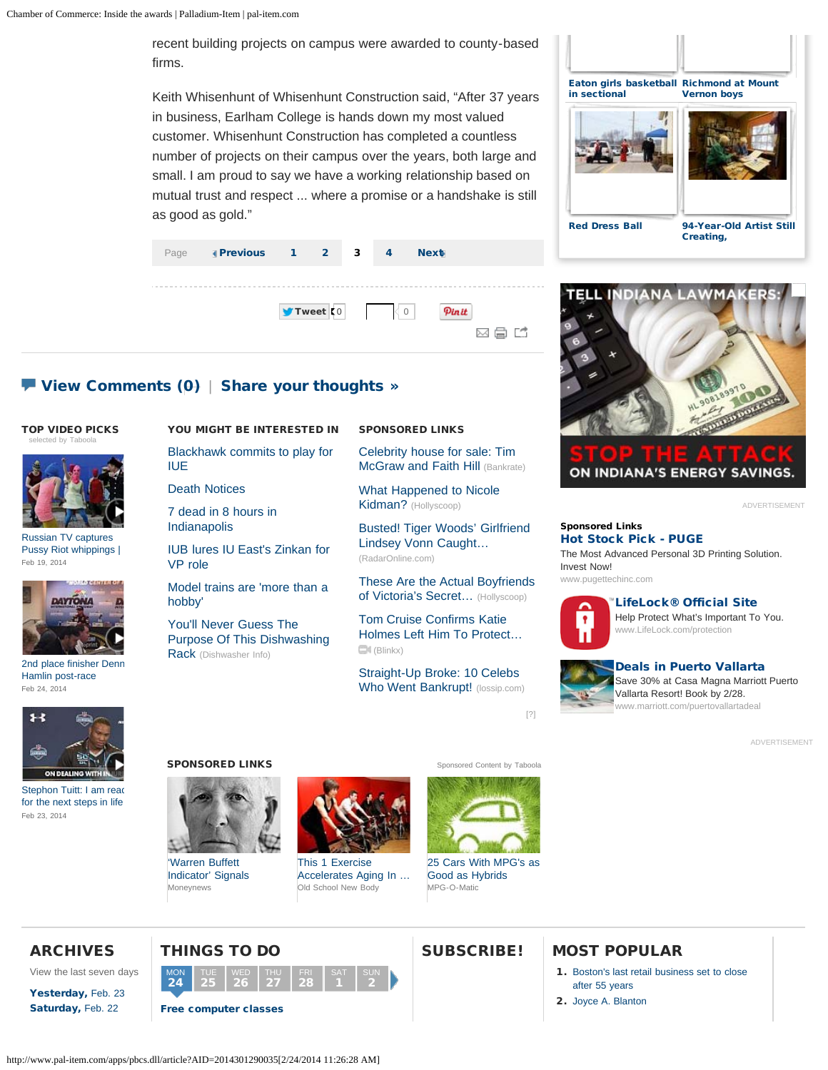recent building projects on campus were awarded to county-based firms.

Keith Whisenhunt of Whisenhunt Construction said, "After 37 years in business, Earlham College is hands down my most valued customer. Whisenhunt Construction has completed a countless number of projects on their campus over the years, both large and small. I am proud to say we have a working relationship based on mutual trust and respect ... where a promise or a handshake is still as good as gold."



## $\blacktriangleright$  [View Comments](http://www.pal-item.com/comments/article/20140201/MONEY/301290035/Chamber-of-Commerce-Inside-the-awards) [\(0\)](http://www.pal-item.com/comments/article/20140201/MONEY/301290035/Chamber-of-Commerce-Inside-the-awards) | [Share your thoughts »](http://www.pal-item.com/comments/article/20140201/MONEY/301290035/Chamber-of-Commerce-Inside-the-awards)

#### TOP VIDEO PICKS [selected by Taboola](http://www.taboola.com/en/popup?template=colorbox&taboola_utm_source=gannett-pal-item&taboola_utm_medium=bytaboola&taboola_utm_content=story-leftcolumn:story-leftcolumn:)



[Russian TV captures](http://www.pal-item.com/videonetwork/3226777676001?odyssey=mod|tvideo|article) [Pussy Riot whippings |](http://www.pal-item.com/videonetwork/3226777676001?odyssey=mod|tvideo|article)  [Feb 19, 2014](http://www.pal-item.com/videonetwork/3226777676001?odyssey=mod|tvideo|article)



[2nd place finisher Denn](http://www.pal-item.com/videonetwork/3248164771001?odyssey=mod|tvideo|article) [Hamlin post-race](http://www.pal-item.com/videonetwork/3248164771001?odyssey=mod|tvideo|article) [Feb 24, 2014](http://www.pal-item.com/videonetwork/3248164771001?odyssey=mod|tvideo|article)

#### YOU MIGHT BE INTERESTED IN

[Blackhawk commits to play for](http://www.pal-item.com/article/20140221/SPORTS/302210022/Blackhawk-commits-play-IUE) [IUE](http://www.pal-item.com/article/20140221/SPORTS/302210022/Blackhawk-commits-play-IUE)

[Death Notices](http://www.pal-item.com/article/20140224/OBITUARIES/302240001/Death-Notices)

[7 dead in 8 hours in](http://www.pal-item.com/article/20140221/UPDATES/140221006/7-dead-8-hours-Indianapolis) [Indianapolis](http://www.pal-item.com/article/20140221/UPDATES/140221006/7-dead-8-hours-Indianapolis)

[IUB lures IU East's Zinkan for](http://www.pal-item.com/article/20140214/NEWS01/302140022/IUB-lures-IU-East-s-Zinkan-VP-role) [VP role](http://www.pal-item.com/article/20140214/NEWS01/302140022/IUB-lures-IU-East-s-Zinkan-VP-role)

[Model trains are 'more than a](http://www.pal-item.com/article/C7/20140223/NEWS01/302230036/Muncie-model-train-show) [hobby'](http://www.pal-item.com/article/C7/20140223/NEWS01/302230036/Muncie-model-train-show)

[You'll Never Guess The](http://www.dishwashersinfo.com/Features/You-ll-Never-Guess-What-This-Dishwashing-Rack-Is-Used-For.htm) [Purpose Of This Dishwashing](http://www.dishwashersinfo.com/Features/You-ll-Never-Guess-What-This-Dishwashing-Rack-Is-Used-For.htm) [Rack](http://www.dishwashersinfo.com/Features/You-ll-Never-Guess-What-This-Dishwashing-Rack-Is-Used-For.htm) (Dishwasher Info)

#### SPONSORED LINKS

[Celebrity house for sale: Tim](http://www.bankrate.com/lite/real-estate/celebrity-house-for-sale-tim-mcgraw-and-faith-hill-1.aspx) [McGraw and Faith Hill](http://www.bankrate.com/lite/real-estate/celebrity-house-for-sale-tim-mcgraw-and-faith-hill-1.aspx) (Bankrate)

[What Happened to Nicole](http://www.hollyscoop.com/nicole-kidman/pictures/818976) [Kidman?](http://www.hollyscoop.com/nicole-kidman/pictures/818976) (Hollyscoop)

[Busted! Tiger Woods' Girlfriend](http://radaronline.com/exclusives/2013/09/tiger-woods-lindsey-vonn-cheating-on-him-scandal/) [Lindsey Vonn Caught…](http://radaronline.com/exclusives/2013/09/tiger-woods-lindsey-vonn-cheating-on-him-scandal/) (RadarOnline.com)

[These Are the Actual Boyfriends](http://www.hollyscoop.com/karolina-kurkova/these-are-actual-boyfriends-victoria-s-secret-models.html) [of Victoria's Secret…](http://www.hollyscoop.com/karolina-kurkova/these-are-actual-boyfriends-victoria-s-secret-models.html) (Hollyscoop)

[Tom Cruise Confirms Katie](http://www.blinkx.com/ce/QaQjhldSK-GqD4ero4FLnviwUWFRamhsZFNLLUdxRDRlcm80Rkxudml3UWFRamhsZFNLLUdxRDR) [Holmes Left Him To Protect…](http://www.blinkx.com/ce/QaQjhldSK-GqD4ero4FLnviwUWFRamhsZFNLLUdxRDRlcm80Rkxudml3UWFRamhsZFNLLUdxRDR) (Blinkx)

[Straight-Up Broke: 10 Celebs](http://lossip.com/26723/celebs-went-bankrupt/) [Who Went Bankrupt!](http://lossip.com/26723/celebs-went-bankrupt/) (lossip.com)





ADVERTISEMENT

#### Sponsored Links [Hot Stock Pick - PUGE](javascript:void(0);)

[The Most Advanced Personal 3D Printing Solution.](javascript:void(0);) [Invest Now!](javascript:void(0);) [www.pugettechinc.com](javascript:void(0);)



#### [LifeLock® Official Site](javascript:void(0);)

[Help Protect What's Important To You.](javascript:void(0);) [www.LifeLock.com/protection](javascript:void(0);)



[\[?\]](#page-0-0)

[Deals in Puerto Vallarta](javascript:void(0);) [Save 30% at Casa Magna Marriott Puerto](javascript:void(0);) [Vallarta Resort! Book by 2/28.](javascript:void(0);) ww.marriott.com/puertovallartadeal

ADVERTISEMENT



[Stephon Tuitt: I am read](http://www.pal-item.com/videonetwork/3247488742001?odyssey=mod|tvideo|article) [for the next steps in life](http://www.pal-item.com/videonetwork/3247488742001?odyssey=mod|tvideo|article) [Feb 23, 2014](http://www.pal-item.com/videonetwork/3247488742001?odyssey=mod|tvideo|article)

#### **SPONSORED LINKS** [Sponsored Content](http://www.taboola.com/en/popup?template=colorbox&taboola_utm_source=gannett-pal-item&taboola_utm_medium=bytaboola&taboola_utm_content=story-bannerad:story-bannerad:) [by Taboola](http://www.taboola.com/en/popup?template=colorbox&taboola_utm_source=gannett-pal-item&taboola_utm_medium=bytaboola&taboola_utm_content=story-bannerad:story-bannerad:)



[Moneynews](http://www.moneynews.com/MKTNews/Stock-market-recession-alert/2014/02/03/id/550641/?promo_code=16610-1&utm_source=taboola&utm_medium=referral) ['Warren Buffett](http://www.moneynews.com/MKTNews/Stock-market-recession-alert/2014/02/03/id/550641/?promo_code=16610-1&utm_source=taboola&utm_medium=referral) [Indicator' Signals](http://www.moneynews.com/MKTNews/Stock-market-recession-alert/2014/02/03/id/550641/?promo_code=16610-1&utm_source=taboola&utm_medium=referral)



[Old School New Body](http://m231g.osnb12.hop.clickbank.net/?p=5steps/index-m.php&tid=taboolaosnb) [This 1 Exercise](http://m231g.osnb12.hop.clickbank.net/?p=5steps/index-m.php&tid=taboolaosnb) [Accelerates Aging In …](http://m231g.osnb12.hop.clickbank.net/?p=5steps/index-m.php&tid=taboolaosnb)

2



[MPG-O-Matic](http://www.mpgomatic.com/25-fuel-efficient-cars-that-are-not-hybrids?var=5&utm_source=taboola&utm_medium=gannett-pal-item) [25 Cars With MPG's as](http://www.mpgomatic.com/25-fuel-efficient-cars-that-are-not-hybrids?var=5&utm_source=taboola&utm_medium=gannett-pal-item) [Good as Hybrids](http://www.mpgomatic.com/25-fuel-efficient-cars-that-are-not-hybrids?var=5&utm_source=taboola&utm_medium=gannett-pal-item)





# SUBSCRIBE! MOST POPULAR

- 1. [Boston's last retail business set to close](http://www.pal-item.com/article/20140223/MONEY/302230018/) [after 55 years](http://www.pal-item.com/article/20140223/MONEY/302230018/)
- 2. [Joyce A. Blanton](http://www.pal-item.com/viewart/20140224/OBITUARIES/402240302/)

# THINGS TO DO

### ARCHIVES View the last seven days

[Yesterday,](http://www.pal-item.com/section/7daysarchives&archivedate=20140223) [Feb. 23](http://www.pal-item.com/section/7daysarchives&archivedate=20140223) [Saturday,](http://www.pal-item.com/section/7daysarchives&archivedate=20140222) [Feb. 22](http://www.pal-item.com/section/7daysarchives&archivedate=20140222)

#### [Free computer classes](http://search.pal-item.com/localevents/event//11194-Free-computer-classes) MON  $24$ 25 26 27 FRI 28